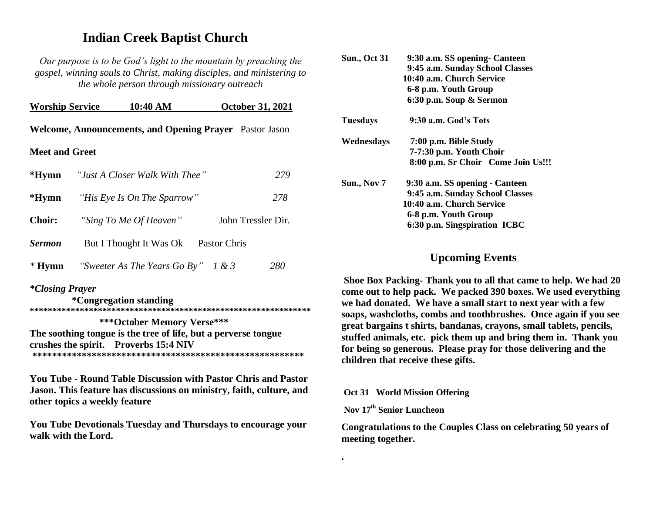# **Indian Creek Baptist Church**

*Our purpose is to be God's light to the mountain by preaching the gospel, winning souls to Christ, making disciples, and ministering to the whole person through missionary outreach*

| <b>Worship Service</b>                                  |  | 10:40 AM                              |              | <b>October 31, 2021</b> |  |
|---------------------------------------------------------|--|---------------------------------------|--------------|-------------------------|--|
| Welcome, Announcements, and Opening Prayer Pastor Jason |  |                                       |              |                         |  |
| <b>Meet and Greet</b>                                   |  |                                       |              |                         |  |
| *Hymn                                                   |  | "Just A Closer Walk With Thee"        |              | 279                     |  |
| *Hymn                                                   |  | "His Eye Is On The Sparrow"           |              | 278                     |  |
| <b>Choir:</b>                                           |  | "Sing To Me Of Heaven"                |              | John Tressler Dir.      |  |
| <b>Sermon</b>                                           |  | But I Thought It Was Ok               | Pastor Chris |                         |  |
| $*$ Hymn                                                |  | "Sweeter As The Years Go By" $1 \& 3$ |              | 280                     |  |

#### *\*Closing Prayer*

 **\*Congregation standing \*\*\*\*\*\*\*\*\*\*\*\*\*\*\*\*\*\*\*\*\*\*\*\*\*\*\*\*\*\*\*\*\*\*\*\*\*\*\*\*\*\*\*\*\*\*\*\*\*\*\*\*\*\*\*\*\*\*\*\*\*\* \*\*\*October Memory Verse\*\*\* The soothing tongue is the tree of life, but a perverse tongue crushes the spirit. Proverbs 15:4 NIV \*\*\*\*\*\*\*\*\*\*\*\*\*\*\*\*\*\*\*\*\*\*\*\*\*\*\*\*\*\*\*\*\*\*\*\*\*\*\*\*\*\*\*\*\*\*\*\*\*\*\*\*\*\*\*** 

**You Tube - Round Table Discussion with Pastor Chris and Pastor Jason. This feature has discussions on ministry, faith, culture, and other topics a weekly feature**

**You Tube Devotionals Tuesday and Thursdays to encourage your walk with the Lord.**

| <b>Sun., Oct 31</b> | 9:30 a.m. SS opening- Canteen      |
|---------------------|------------------------------------|
|                     | 9:45 a.m. Sunday School Classes    |
|                     | 10:40 a.m. Church Service          |
|                     | 6-8 p.m. Youth Group               |
|                     | 6:30 p.m. Soup & Sermon            |
| Tuesdays            | 9:30 a.m. God's Tots               |
| Wednesdays          | 7:00 p.m. Bible Study              |
|                     | 7-7:30 p.m. Youth Choir            |
|                     | 8:00 p.m. Sr Choir Come Join Us!!! |
| Sun., Nov 7         | 9:30 a.m. SS opening - Canteen     |
|                     | 9:45 a.m. Sunday School Classes    |
|                     | 10:40 a.m. Church Service          |
|                     | 6-8 p.m. Youth Group               |
|                     | 6:30 p.m. Singspiration ICBC       |
|                     |                                    |

## **Upcoming Events**

**Shoe Box Packing- Thank you to all that came to help. We had 20 come out to help pack. We packed 390 boxes. We used everything we had donated. We have a small start to next year with a few soaps, washcloths, combs and toothbrushes. Once again if you see great bargains t shirts, bandanas, crayons, small tablets, pencils, stuffed animals, etc. pick them up and bring them in. Thank you for being so generous. Please pray for those delivering and the children that receive these gifts.** 

#### **Oct 31 World Mission Offering**

#### **Nov 17 th Senior Luncheon**

**.**

**Congratulations to the Couples Class on celebrating 50 years of meeting together.**